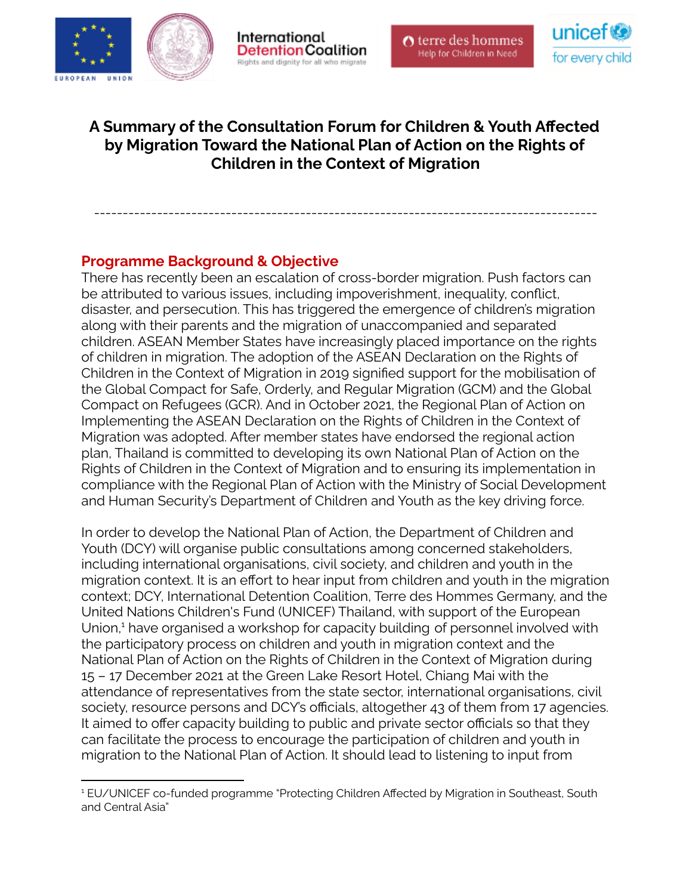





# **A Summary of the Consultation Forum for Children & Youth Affected by Migration Toward the National Plan of Action on the Rights of Children in the Context of Migration**

----------------------------------------------------------------------------------------

# **Programme Background & Objective**

There has recently been an escalation of cross-border migration. Push factors can be attributed to various issues, including impoverishment, inequality, conflict, disaster, and persecution. This has triggered the emergence of children's migration along with their parents and the migration of unaccompanied and separated children. ASEAN Member States have increasingly placed importance on the rights of children in migration. The adoption of the ASEAN Declaration on the Rights of Children in the Context of Migration in 2019 signified support for the mobilisation of the Global Compact for Safe, Orderly, and Regular Migration (GCM) and the Global Compact on Refugees (GCR). And in October 2021, the Regional Plan of Action on Implementing the ASEAN Declaration on the Rights of Children in the Context of Migration was adopted. After member states have endorsed the regional action plan, Thailand is committed to developing its own National Plan of Action on the Rights of Children in the Context of Migration and to ensuring its implementation in compliance with the Regional Plan of Action with the Ministry of Social Development and Human Security's Department of Children and Youth as the key driving force.

In order to develop the National Plan of Action, the Department of Children and Youth (DCY) will organise public consultations among concerned stakeholders, including international organisations, civil society, and children and youth in the migration context. It is an effort to hear input from children and youth in the migration context; DCY, International Detention Coalition, Terre des Hommes Germany, and the United Nations Children's Fund (UNICEF) Thailand, with support of the European Union, <sup>1</sup> have organised a workshop for capacity building of personnel involved with the participatory process on children and youth in migration context and the National Plan of Action on the Rights of Children in the Context of Migration during 15 – 17 December 2021 at the Green Lake Resort Hotel, Chiang Mai with the attendance of representatives from the state sector, international organisations, civil society, resource persons and DCY's officials, altogether 43 of them from 17 agencies. It aimed to offer capacity building to public and private sector officials so that they can facilitate the process to encourage the participation of children and youth in migration to the National Plan of Action. It should lead to listening to input from

<sup>1</sup> EU/UNICEF co-funded programme "Protecting Children Affected by Migration in Southeast, South and Central Asia"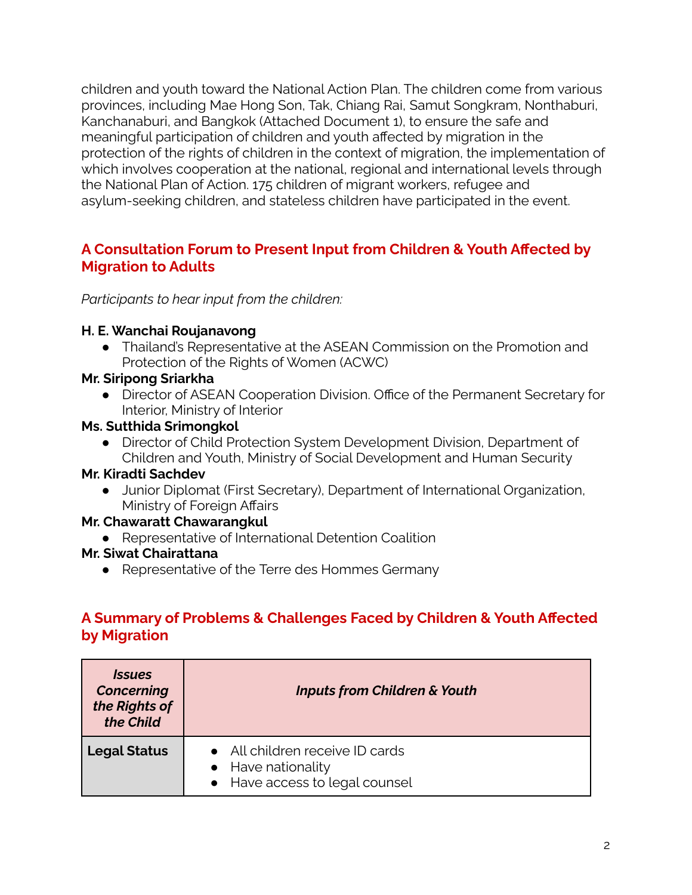children and youth toward the National Action Plan. The children come from various provinces, including Mae Hong Son, Tak, Chiang Rai, Samut Songkram, Nonthaburi, Kanchanaburi, and Bangkok (Attached Document 1), to ensure the safe and meaningful participation of children and youth affected by migration in the protection of the rights of children in the context of migration, the implementation of which involves cooperation at the national, regional and international levels through the National Plan of Action. 175 children of migrant workers, refugee and asylum-seeking children, and stateless children have participated in the event.

## **A Consultation Forum to Present Input from Children & Youth Affected by Migration to Adults**

### *Participants to hear input from the children:*

#### **H. E. Wanchai Roujanavong**

● Thailand's Representative at the ASEAN Commission on the Promotion and Protection of the Rights of Women (ACWC)

### **Mr. Siripong Sriarkha**

● Director of ASEAN Cooperation Division. Office of the Permanent Secretary for Interior, Ministry of Interior

### **Ms. Sutthida Srimongkol**

● Director of Child Protection System Development Division, Department of Children and Youth, Ministry of Social Development and Human Security

### **Mr. Kiradti Sachdev**

● Junior Diplomat (First Secretary), Department of International Organization, Ministry of Foreign Affairs

# **Mr. Chawaratt Chawarangkul**

● Representative of International Detention Coalition

### **Mr. Siwat Chairattana**

● Representative of the Terre des Hommes Germany

## **A Summary of Problems & Challenges Faced by Children & Youth Affected by Migration**

| <i><b>Issues</b></i><br><b>Concerning</b><br>the Rights of<br>the Child | <b>Inputs from Children &amp; Youth</b>                                                 |  |
|-------------------------------------------------------------------------|-----------------------------------------------------------------------------------------|--|
| <b>Legal Status</b>                                                     | • All children receive ID cards<br>• Have nationality<br>• Have access to legal counsel |  |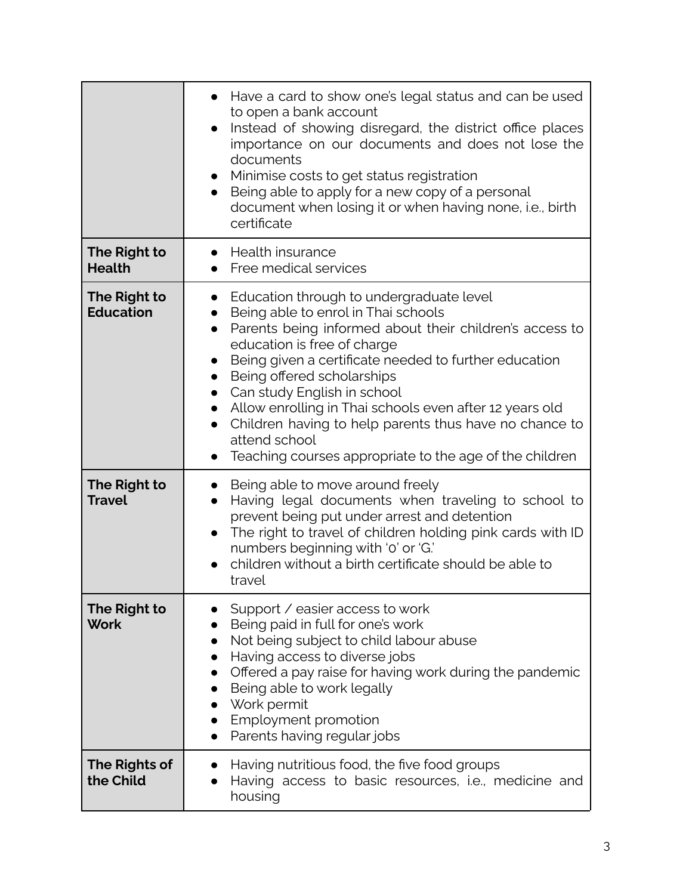|                                  | Have a card to show one's legal status and can be used<br>to open a bank account<br>Instead of showing disregard, the district office places<br>$\bullet$<br>importance on our documents and does not lose the<br>documents<br>Minimise costs to get status registration<br>Being able to apply for a new copy of a personal<br>document when losing it or when having none, i.e., birth<br>certificate                                                                                                                                                                                       |
|----------------------------------|-----------------------------------------------------------------------------------------------------------------------------------------------------------------------------------------------------------------------------------------------------------------------------------------------------------------------------------------------------------------------------------------------------------------------------------------------------------------------------------------------------------------------------------------------------------------------------------------------|
| The Right to<br><b>Health</b>    | • Health insurance<br>Free medical services<br>$\bullet$                                                                                                                                                                                                                                                                                                                                                                                                                                                                                                                                      |
| The Right to<br><b>Education</b> | Education through to undergraduate level<br>$\bullet$<br>Being able to enrol in Thai schools<br>$\bullet$<br>Parents being informed about their children's access to<br>$\bullet$<br>education is free of charge<br>Being given a certificate needed to further education<br>$\bullet$<br>Being offered scholarships<br>$\bullet$<br>Can study English in school<br>$\bullet$<br>• Allow enrolling in Thai schools even after 12 years old<br>Children having to help parents thus have no chance to<br>$\bullet$<br>attend school<br>Teaching courses appropriate to the age of the children |
| The Right to<br><b>Travel</b>    | Being able to move around freely<br>$\bullet$<br>Having legal documents when traveling to school to<br>$\bullet$<br>prevent being put under arrest and detention<br>The right to travel of children holding pink cards with ID<br>$\bullet$<br>numbers beginning with 'o' or 'G.'<br>children without a birth certificate should be able to<br>travel                                                                                                                                                                                                                                         |
| The Right to<br><b>Work</b>      | Support / easier access to work<br>Being paid in full for one's work<br>Not being subject to child labour abuse<br>$\bullet$<br>Having access to diverse jobs<br>$\bullet$<br>Offered a pay raise for having work during the pandemic<br>Being able to work legally<br>Work permit<br>Employment promotion<br>Parents having regular jobs                                                                                                                                                                                                                                                     |
| The Rights of<br>the Child       | Having nutritious food, the five food groups<br>Having access to basic resources, i.e., medicine and<br>housing                                                                                                                                                                                                                                                                                                                                                                                                                                                                               |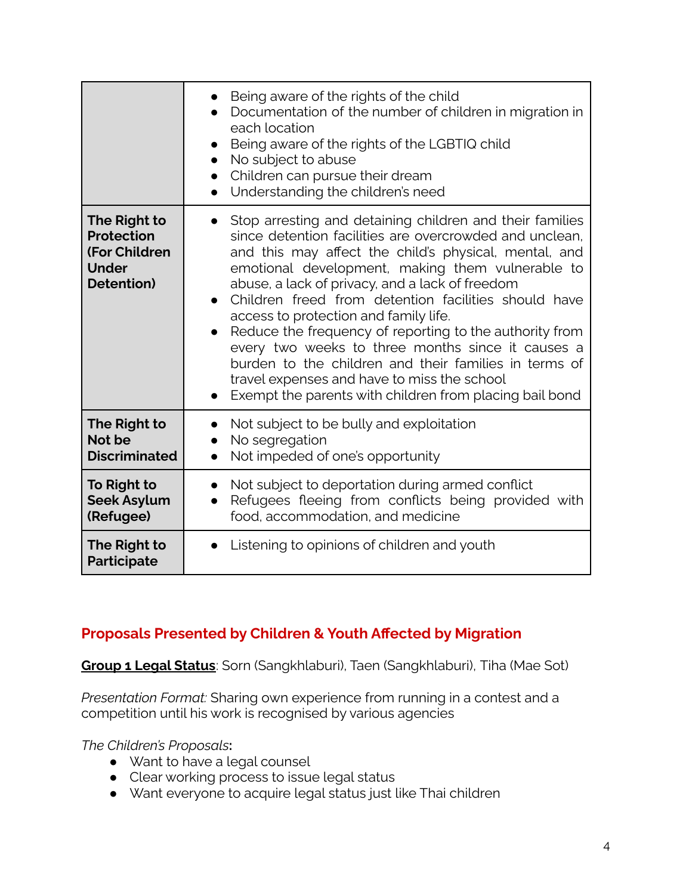|                                                                           | Being aware of the rights of the child<br>Documentation of the number of children in migration in<br>each location<br>Being aware of the rights of the LGBTIQ child<br>$\bullet$<br>No subject to abuse<br>$\bullet$<br>Children can pursue their dream<br>$\bullet$<br>Understanding the children's need                                                                                                                                                                                                                                                                                                                                                               |
|---------------------------------------------------------------------------|-------------------------------------------------------------------------------------------------------------------------------------------------------------------------------------------------------------------------------------------------------------------------------------------------------------------------------------------------------------------------------------------------------------------------------------------------------------------------------------------------------------------------------------------------------------------------------------------------------------------------------------------------------------------------|
| The Right to<br>Protection<br>(For Children<br><b>Under</b><br>Detention) | Stop arresting and detaining children and their families<br>since detention facilities are overcrowded and unclean.<br>and this may affect the child's physical, mental, and<br>emotional development, making them vulnerable to<br>abuse, a lack of privacy, and a lack of freedom<br>Children freed from detention facilities should have<br>access to protection and family life.<br>Reduce the frequency of reporting to the authority from<br>every two weeks to three months since it causes a<br>burden to the children and their families in terms of<br>travel expenses and have to miss the school<br>Exempt the parents with children from placing bail bond |
| The Right to<br>Not be<br><b>Discriminated</b>                            | Not subject to be bully and exploitation<br>No segregation<br>Not impeded of one's opportunity                                                                                                                                                                                                                                                                                                                                                                                                                                                                                                                                                                          |
| To Right to<br><b>Seek Asylum</b><br>(Refugee)                            | Not subject to deportation during armed conflict<br>$\bullet$<br>Refugees fleeing from conflicts being provided with<br>food, accommodation, and medicine                                                                                                                                                                                                                                                                                                                                                                                                                                                                                                               |
| The Right to<br><b>Participate</b>                                        | Listening to opinions of children and youth                                                                                                                                                                                                                                                                                                                                                                                                                                                                                                                                                                                                                             |

## **Proposals Presented by Children & Youth Affected by Migration**

**Group 1 Legal Status**: Sorn (Sangkhlaburi), Taen (Sangkhlaburi), Tiha (Mae Sot)

*Presentation Format:* Sharing own experience from running in a contest and a competition until his work is recognised by various agencies

*The Children's Proposals***:**

- Want to have a legal counsel
- Clear working process to issue legal status
- Want everyone to acquire legal status just like Thai children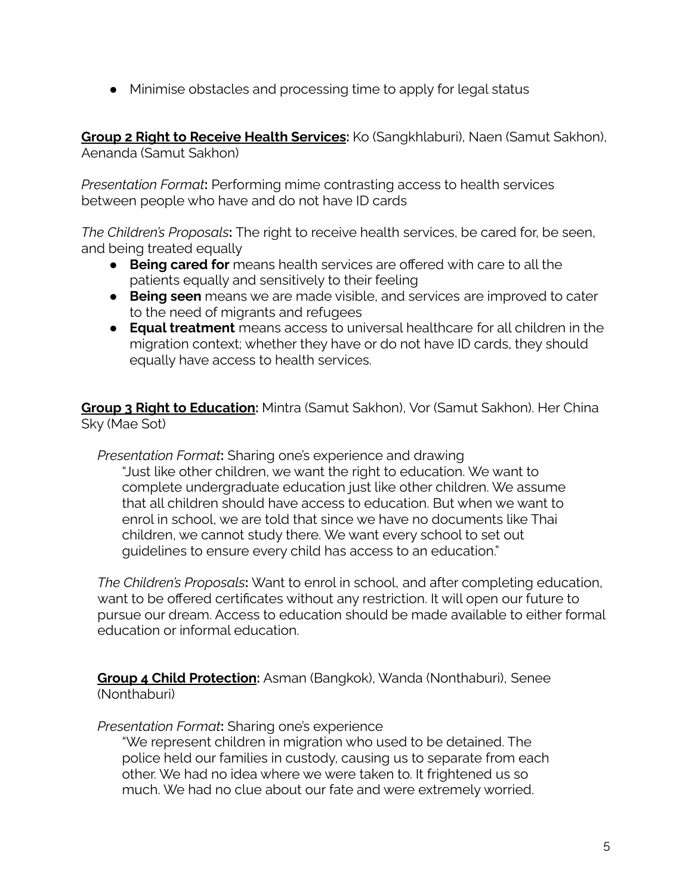● Minimise obstacles and processing time to apply for legal status

**Group 2 Right to Receive Health Services:** Ko (Sangkhlaburi), Naen (Samut Sakhon), Aenanda (Samut Sakhon)

*Presentation Format***:** Performing mime contrasting access to health services between people who have and do not have ID cards

*The Children's Proposals***:** The right to receive health services, be cared for, be seen, and being treated equally

- **Being cared for** means health services are offered with care to all the patients equally and sensitively to their feeling
- **Being seen** means we are made visible, and services are improved to cater to the need of migrants and refugees
- **Equal treatment** means access to universal healthcare for all children in the migration context; whether they have or do not have ID cards, they should equally have access to health services.

**Group 3 Right to Education:** Mintra (Samut Sakhon), Vor (Samut Sakhon). Her China Sky (Mae Sot)

*Presentation Format***:** Sharing one's experience and drawing

"Just like other children, we want the right to education. We want to complete undergraduate education just like other children. We assume that all children should have access to education. But when we want to enrol in school, we are told that since we have no documents like Thai children, we cannot study there. We want every school to set out guidelines to ensure every child has access to an education."

*The Children's Proposals***:** Want to enrol in school, and after completing education, want to be offered certificates without any restriction. It will open our future to pursue our dream. Access to education should be made available to either formal education or informal education.

**Group 4 Child Protection:** Asman (Bangkok), Wanda (Nonthaburi), Senee (Nonthaburi)

*Presentation Format***:** Sharing one's experience

"We represent children in migration who used to be detained. The police held our families in custody, causing us to separate from each other. We had no idea where we were taken to. It frightened us so much. We had no clue about our fate and were extremely worried.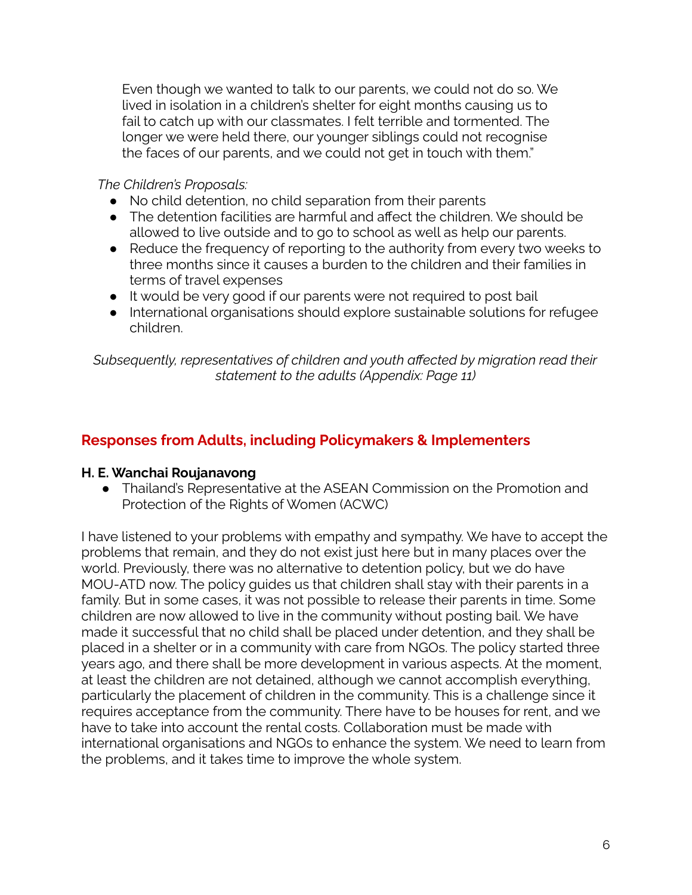Even though we wanted to talk to our parents, we could not do so. We lived in isolation in a children's shelter for eight months causing us to fail to catch up with our classmates. I felt terrible and tormented. The longer we were held there, our younger siblings could not recognise the faces of our parents, and we could not get in touch with them."

*The Children's Proposals:*

- No child detention, no child separation from their parents
- The detention facilities are harmful and affect the children. We should be allowed to live outside and to go to school as well as help our parents.
- Reduce the frequency of reporting to the authority from every two weeks to three months since it causes a burden to the children and their families in terms of travel expenses
- It would be very good if our parents were not required to post bail
- International organisations should explore sustainable solutions for refugee children.

*Subsequently, representatives of children and youth affected by migration read their statement to the adults (Appendix: Page 11)*

# **Responses from Adults, including Policymakers & Implementers**

#### **H. E. Wanchai Roujanavong**

● Thailand's Representative at the ASEAN Commission on the Promotion and Protection of the Rights of Women (ACWC)

I have listened to your problems with empathy and sympathy. We have to accept the problems that remain, and they do not exist just here but in many places over the world. Previously, there was no alternative to detention policy, but we do have MOU-ATD now. The policy guides us that children shall stay with their parents in a family. But in some cases, it was not possible to release their parents in time. Some children are now allowed to live in the community without posting bail. We have made it successful that no child shall be placed under detention, and they shall be placed in a shelter or in a community with care from NGOs. The policy started three years ago, and there shall be more development in various aspects. At the moment, at least the children are not detained, although we cannot accomplish everything, particularly the placement of children in the community. This is a challenge since it requires acceptance from the community. There have to be houses for rent, and we have to take into account the rental costs. Collaboration must be made with international organisations and NGOs to enhance the system. We need to learn from the problems, and it takes time to improve the whole system.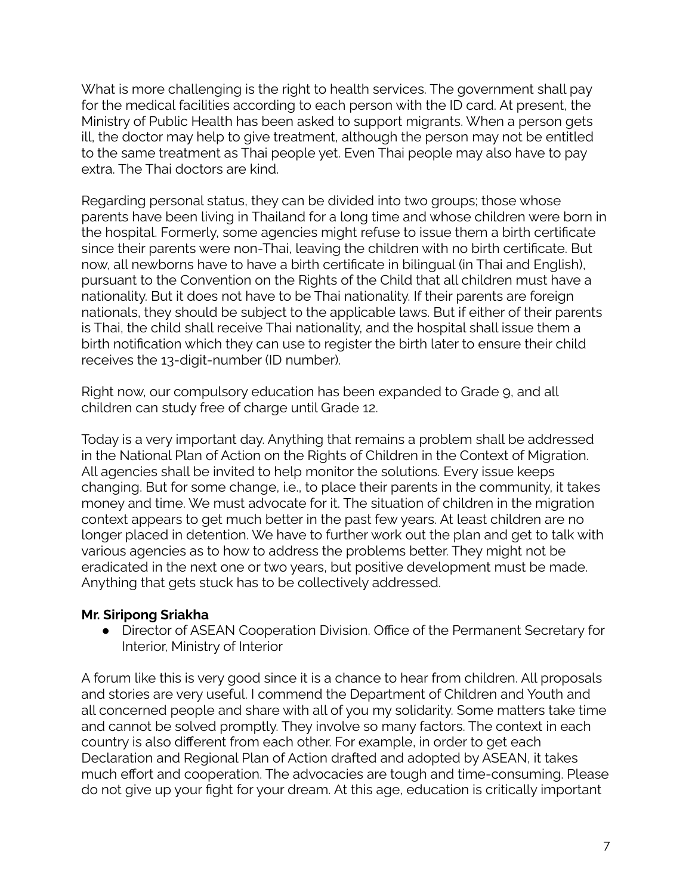What is more challenging is the right to health services. The government shall pay for the medical facilities according to each person with the ID card. At present, the Ministry of Public Health has been asked to support migrants. When a person gets ill, the doctor may help to give treatment, although the person may not be entitled to the same treatment as Thai people yet. Even Thai people may also have to pay extra. The Thai doctors are kind.

Regarding personal status, they can be divided into two groups; those whose parents have been living in Thailand for a long time and whose children were born in the hospital. Formerly, some agencies might refuse to issue them a birth certificate since their parents were non-Thai, leaving the children with no birth certificate. But now, all newborns have to have a birth certificate in bilingual (in Thai and English), pursuant to the Convention on the Rights of the Child that all children must have a nationality. But it does not have to be Thai nationality. If their parents are foreign nationals, they should be subject to the applicable laws. But if either of their parents is Thai, the child shall receive Thai nationality, and the hospital shall issue them a birth notification which they can use to register the birth later to ensure their child receives the 13-digit-number (ID number).

Right now, our compulsory education has been expanded to Grade 9, and all children can study free of charge until Grade 12.

Today is a very important day. Anything that remains a problem shall be addressed in the National Plan of Action on the Rights of Children in the Context of Migration. All agencies shall be invited to help monitor the solutions. Every issue keeps changing. But for some change, i.e., to place their parents in the community, it takes money and time. We must advocate for it. The situation of children in the migration context appears to get much better in the past few years. At least children are no longer placed in detention. We have to further work out the plan and get to talk with various agencies as to how to address the problems better. They might not be eradicated in the next one or two years, but positive development must be made. Anything that gets stuck has to be collectively addressed.

#### **Mr. Siripong Sriakha**

● Director of ASEAN Cooperation Division. Office of the Permanent Secretary for Interior, Ministry of Interior

A forum like this is very good since it is a chance to hear from children. All proposals and stories are very useful. I commend the Department of Children and Youth and all concerned people and share with all of you my solidarity. Some matters take time and cannot be solved promptly. They involve so many factors. The context in each country is also different from each other. For example, in order to get each Declaration and Regional Plan of Action drafted and adopted by ASEAN, it takes much effort and cooperation. The advocacies are tough and time-consuming. Please do not give up your fight for your dream. At this age, education is critically important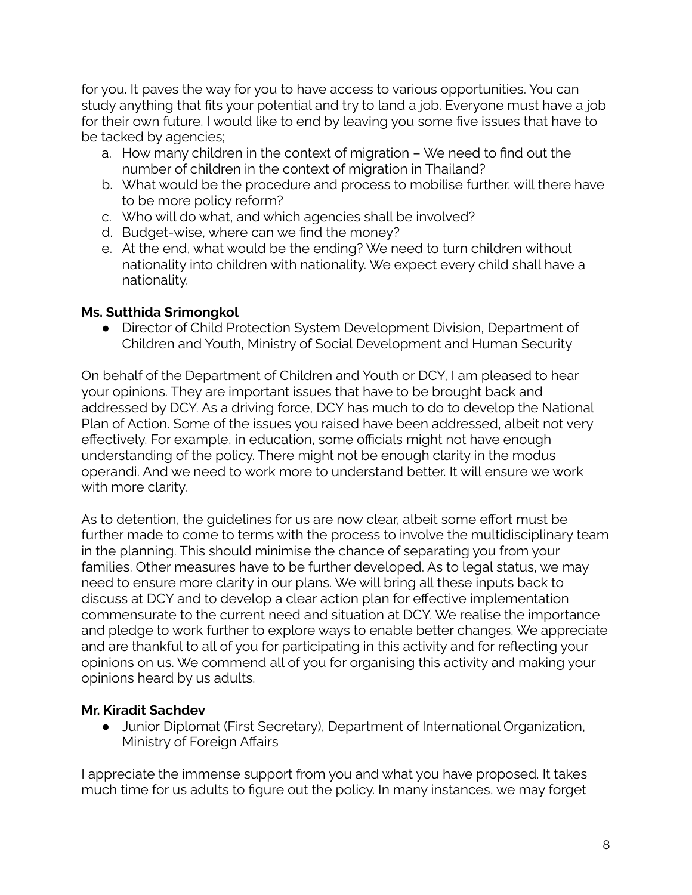for you. It paves the way for you to have access to various opportunities. You can study anything that fits your potential and try to land a job. Everyone must have a job for their own future. I would like to end by leaving you some five issues that have to be tacked by agencies;

- a. How many children in the context of migration We need to find out the number of children in the context of migration in Thailand?
- b. What would be the procedure and process to mobilise further, will there have to be more policy reform?
- c. Who will do what, and which agencies shall be involved?
- d. Budget-wise, where can we find the money?
- e. At the end, what would be the ending? We need to turn children without nationality into children with nationality. We expect every child shall have a nationality.

## **Ms. Sutthida Srimongkol**

● Director of Child Protection System Development Division, Department of Children and Youth, Ministry of Social Development and Human Security

On behalf of the Department of Children and Youth or DCY, I am pleased to hear your opinions. They are important issues that have to be brought back and addressed by DCY. As a driving force, DCY has much to do to develop the National Plan of Action. Some of the issues you raised have been addressed, albeit not very effectively. For example, in education, some officials might not have enough understanding of the policy. There might not be enough clarity in the modus operandi. And we need to work more to understand better. It will ensure we work with more clarity.

As to detention, the guidelines for us are now clear, albeit some effort must be further made to come to terms with the process to involve the multidisciplinary team in the planning. This should minimise the chance of separating you from your families. Other measures have to be further developed. As to legal status, we may need to ensure more clarity in our plans. We will bring all these inputs back to discuss at DCY and to develop a clear action plan for effective implementation commensurate to the current need and situation at DCY. We realise the importance and pledge to work further to explore ways to enable better changes. We appreciate and are thankful to all of you for participating in this activity and for reflecting your opinions on us. We commend all of you for organising this activity and making your opinions heard by us adults.

### **Mr. Kiradit Sachdev**

**●** Junior Diplomat (First Secretary), Department of International Organization, Ministry of Foreign Affairs

I appreciate the immense support from you and what you have proposed. It takes much time for us adults to figure out the policy. In many instances, we may forget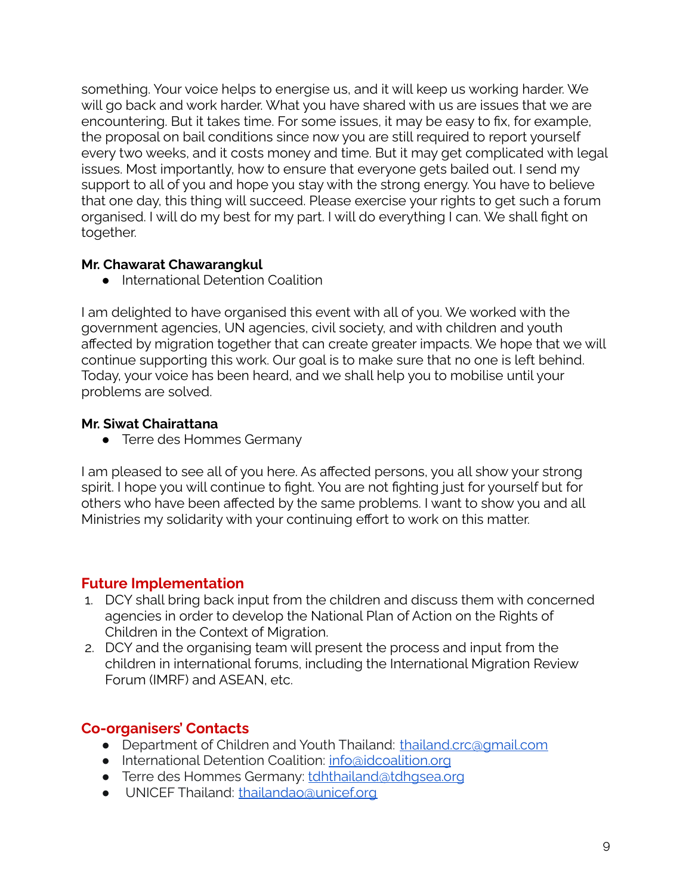something. Your voice helps to energise us, and it will keep us working harder. We will go back and work harder. What you have shared with us are issues that we are encountering. But it takes time. For some issues, it may be easy to fix, for example, the proposal on bail conditions since now you are still required to report yourself every two weeks, and it costs money and time. But it may get complicated with legal issues. Most importantly, how to ensure that everyone gets bailed out. I send my support to all of you and hope you stay with the strong energy. You have to believe that one day, this thing will succeed. Please exercise your rights to get such a forum organised. I will do my best for my part. I will do everything I can. We shall fight on together.

### **Mr. Chawarat Chawarangkul**

**●** International Detention Coalition

I am delighted to have organised this event with all of you. We worked with the government agencies, UN agencies, civil society, and with children and youth affected by migration together that can create greater impacts. We hope that we will continue supporting this work. Our goal is to make sure that no one is left behind. Today, your voice has been heard, and we shall help you to mobilise until your problems are solved.

### **Mr. Siwat Chairattana**

• Terre des Hommes Germany

I am pleased to see all of you here. As affected persons, you all show your strong spirit. I hope you will continue to fight. You are not fighting just for yourself but for others who have been affected by the same problems. I want to show you and all Ministries my solidarity with your continuing effort to work on this matter.

## **Future Implementation**

- 1. DCY shall bring back input from the children and discuss them with concerned agencies in order to develop the National Plan of Action on the Rights of Children in the Context of Migration.
- 2. DCY and the organising team will present the process and input from the children in international forums, including the International Migration Review Forum (IMRF) and ASEAN, etc.

### **Co-organisers' Contacts**

- Department of Children and Youth Thailand: [thailand.crc@gmail.com](mailto:thailand.crc@gmail.com)
- International Detention Coalition: [info@idcoalition.org](mailto:info@idcoalition.org)
- **•** Terre des Hommes Germany: [tdhthailand@tdhgsea.org](mailto:tdhthailand@tdhgsea.org)
- UNICEF Thailand: [thailandao@unicef.org](mailto:thailandao@unicef.org)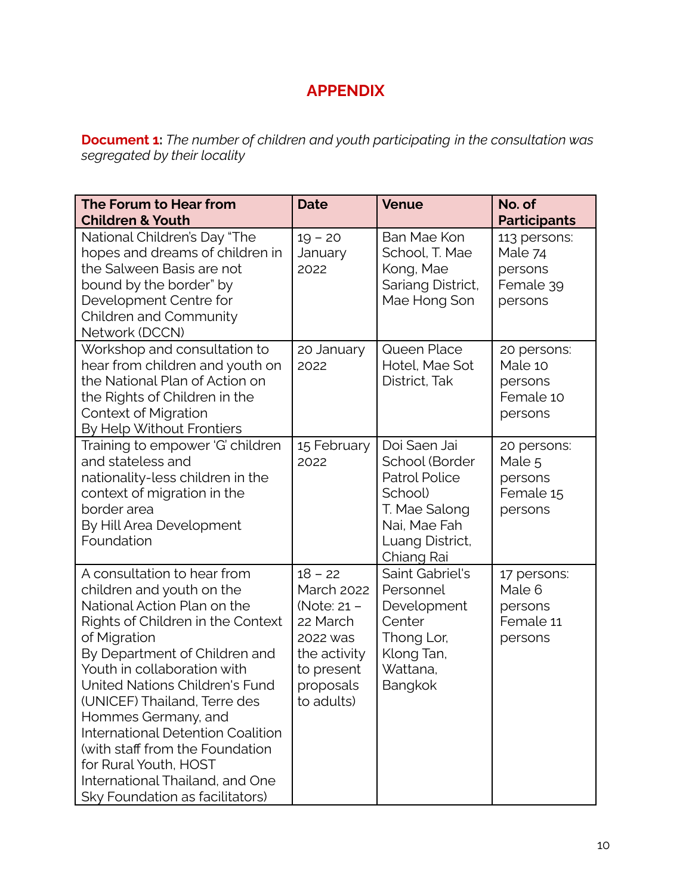# **APPENDIX**

**Document 1:** *The number of children and youth participating in the consultation was segregated by their locality*

| The Forum to Hear from<br><b>Children &amp; Youth</b>                                                                                                                                                                                                                                                                                                                                                                                                                        | <b>Date</b>                                                                                                                    | <b>Venue</b>                                                                                                                        | No. of<br><b>Participants</b>                                       |
|------------------------------------------------------------------------------------------------------------------------------------------------------------------------------------------------------------------------------------------------------------------------------------------------------------------------------------------------------------------------------------------------------------------------------------------------------------------------------|--------------------------------------------------------------------------------------------------------------------------------|-------------------------------------------------------------------------------------------------------------------------------------|---------------------------------------------------------------------|
| National Children's Day "The<br>hopes and dreams of children in<br>the Salween Basis are not<br>bound by the border" by<br>Development Centre for<br>Children and Community<br>Network (DCCN)                                                                                                                                                                                                                                                                                | $19 - 20$<br>January<br>2022                                                                                                   | Ban Mae Kon<br>School, T. Mae<br>Kong, Mae<br>Sariang District,<br>Mae Hong Son                                                     | 113 persons:<br>Male 74<br>persons<br>Female 39<br>persons          |
| Workshop and consultation to<br>hear from children and youth on<br>the National Plan of Action on<br>the Rights of Children in the<br><b>Context of Migration</b><br>By Help Without Frontiers                                                                                                                                                                                                                                                                               | 20 January<br>2022                                                                                                             | Queen Place<br>Hotel, Mae Sot<br>District, Tak                                                                                      | 20 persons:<br>Male 10<br>persons<br>Female 10<br>persons           |
| Training to empower 'G' children<br>and stateless and<br>nationality-less children in the<br>context of migration in the<br>border area<br>By Hill Area Development<br>Foundation                                                                                                                                                                                                                                                                                            | 15 February<br>2022                                                                                                            | Doi Saen Jai<br>School (Border<br>Patrol Police<br>School)<br>T. Mae Salong<br>Nai, Mae Fah<br>Luang District,<br><b>Chiang Rai</b> | 20 persons:<br>Male 5<br>persons<br>Female 15<br>persons            |
| A consultation to hear from<br>children and youth on the<br>National Action Plan on the<br>Rights of Children in the Context<br>of Migration<br>By Department of Children and<br>Youth in collaboration with<br>United Nations Children's Fund<br>(UNICEF) Thailand, Terre des<br>Hommes Germany, and<br>International Detention Coalition<br>(with staff from the Foundation<br>for Rural Youth, HOST<br>International Thailand, and One<br>Sky Foundation as facilitators) | $18 - 22$<br><b>March 2022</b><br>(Note: 21 -<br>22 March<br>2022 was<br>the activity<br>to present<br>proposals<br>to adults) | Saint Gabriel's<br>Personnel<br>Development<br>Center<br>Thong Lor,<br>Klong Tan,<br>Wattana,<br>Bangkok                            | 17 persons:<br>Male <sub>6</sub><br>persons<br>Female 11<br>persons |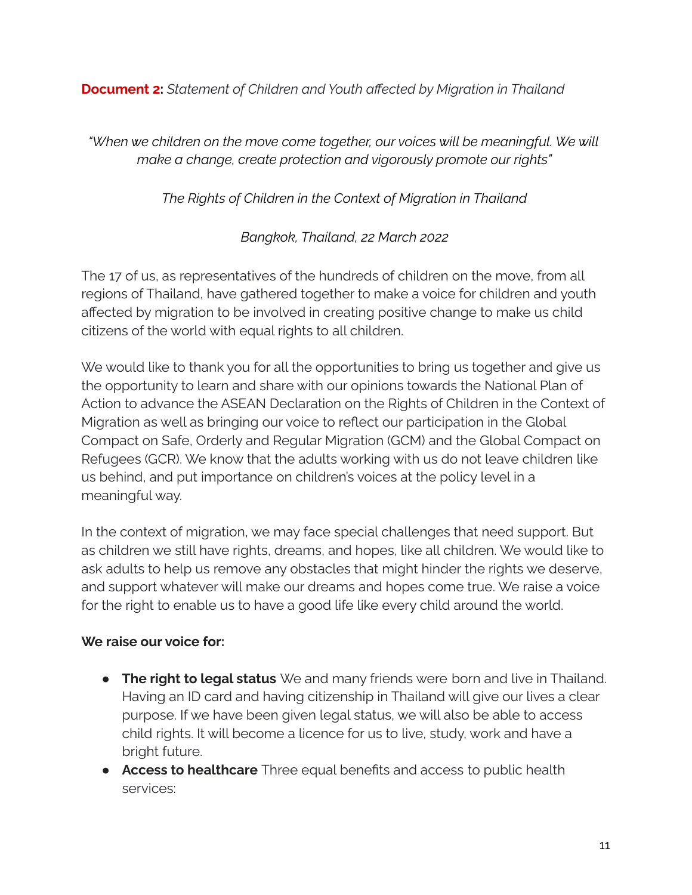**Document 2:** *Statement of Children and Youth affected by Migration in Thailand*

*"When we children on the move come together, our voices will be meaningful. We will make a change, create protection and vigorously promote our rights"*

*The Rights of Children in the Context of Migration in Thailand*

*Bangkok, Thailand, 22 March 2022*

The 17 of us, as representatives of the hundreds of children on the move, from all regions of Thailand, have gathered together to make a voice for children and youth affected by migration to be involved in creating positive change to make us child citizens of the world with equal rights to all children.

We would like to thank you for all the opportunities to bring us together and give us the opportunity to learn and share with our opinions towards the National Plan of Action to advance the ASEAN Declaration on the Rights of Children in the Context of Migration as well as bringing our voice to reflect our participation in the Global Compact on Safe, Orderly and Regular Migration (GCM) and the Global Compact on Refugees (GCR). We know that the adults working with us do not leave children like us behind, and put importance on children's voices at the policy level in a meaningful way.

In the context of migration, we may face special challenges that need support. But as children we still have rights, dreams, and hopes, like all children. We would like to ask adults to help us remove any obstacles that might hinder the rights we deserve, and support whatever will make our dreams and hopes come true. We raise a voice for the right to enable us to have a good life like every child around the world.

## **We raise our voice for:**

- **● The right to legal status** We and many friends were born and live in Thailand. Having an ID card and having citizenship in Thailand will give our lives a clear purpose. If we have been given legal status, we will also be able to access child rights. It will become a licence for us to live, study, work and have a bright future.
- **● Access to healthcare** Three equal benefits and access to public health services: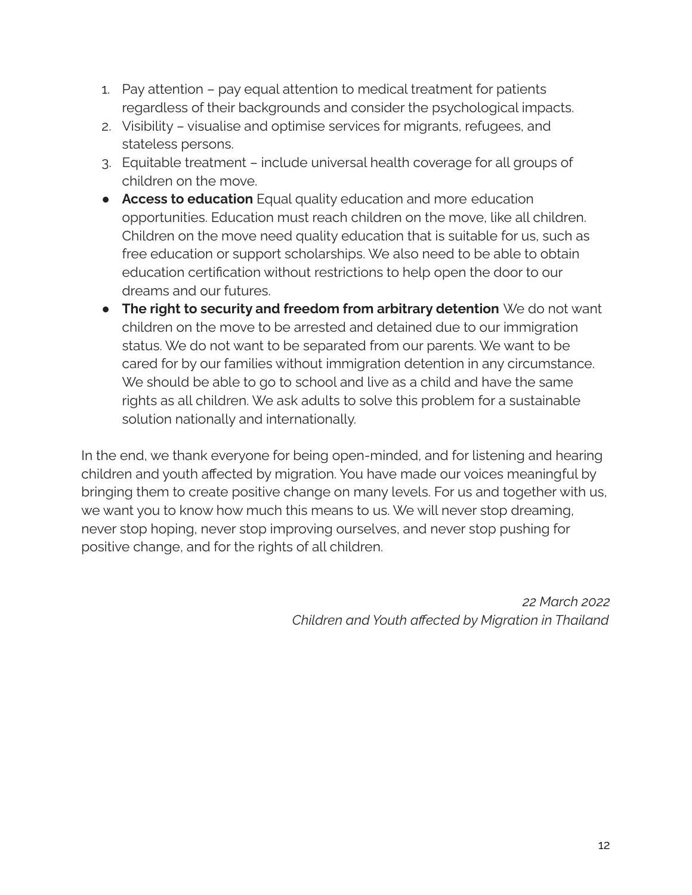- 1. Pay attention pay equal attention to medical treatment for patients regardless of their backgrounds and consider the psychological impacts.
- 2. Visibility visualise and optimise services for migrants, refugees, and stateless persons.
- 3. Equitable treatment include universal health coverage for all groups of children on the move.
- **● Access to education** Equal quality education and more education opportunities. Education must reach children on the move, like all children. Children on the move need quality education that is suitable for us, such as free education or support scholarships. We also need to be able to obtain education certification without restrictions to help open the door to our dreams and our futures.
- **● The right to security and freedom from arbitrary detention** We do not want children on the move to be arrested and detained due to our immigration status. We do not want to be separated from our parents. We want to be cared for by our families without immigration detention in any circumstance. We should be able to go to school and live as a child and have the same rights as all children. We ask adults to solve this problem for a sustainable solution nationally and internationally.

In the end, we thank everyone for being open-minded, and for listening and hearing children and youth affected by migration. You have made our voices meaningful by bringing them to create positive change on many levels. For us and together with us, we want you to know how much this means to us. We will never stop dreaming, never stop hoping, never stop improving ourselves, and never stop pushing for positive change, and for the rights of all children.

> *22 March 2022 Children and Youth affected by Migration in Thailand*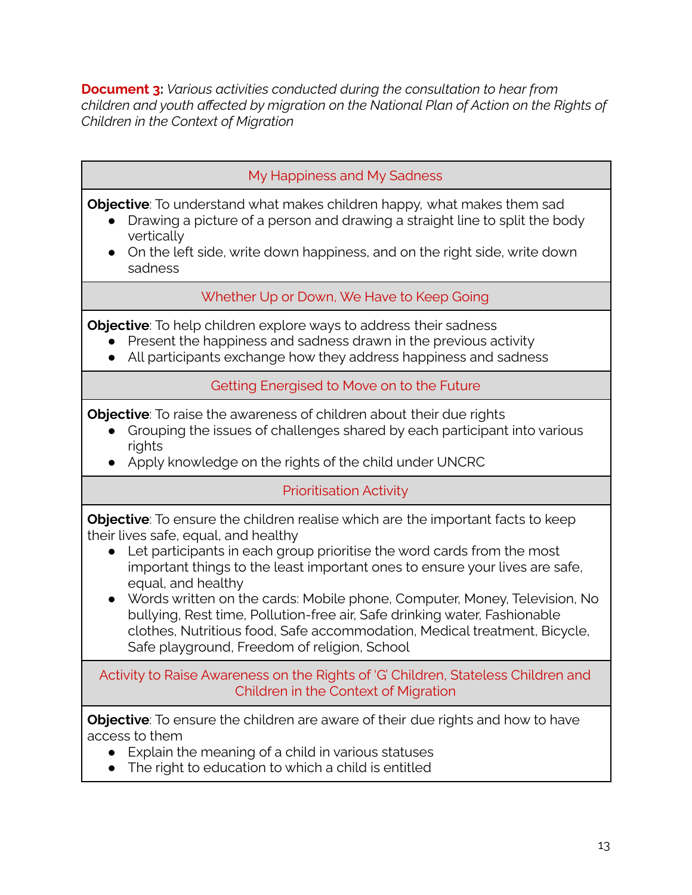**Document 3:** *Various activities conducted during the consultation to hear from children and youth affected by migration on the National Plan of Action on the Rights of Children in the Context of Migration*

### My Happiness and My Sadness

**Objective**: To understand what makes children happy, what makes them sad

- Drawing a picture of a person and drawing a straight line to split the body vertically
- On the left side, write down happiness, and on the right side, write down sadness

Whether Up or Down, We Have to Keep Going

**Objective**: To help children explore ways to address their sadness

- Present the happiness and sadness drawn in the previous activity
- All participants exchange how they address happiness and sadness

Getting Energised to Move on to the Future

**Objective**: To raise the awareness of children about their due rights

- Grouping the issues of challenges shared by each participant into various rights
- Apply knowledge on the rights of the child under UNCRC

## Prioritisation Activity

**Objective**: To ensure the children realise which are the important facts to keep their lives safe, equal, and healthy

- Let participants in each group prioritise the word cards from the most important things to the least important ones to ensure your lives are safe, equal, and healthy
- Words written on the cards: Mobile phone, Computer, Money, Television, No bullying, Rest time, Pollution-free air, Safe drinking water, Fashionable clothes, Nutritious food, Safe accommodation, Medical treatment, Bicycle, Safe playground, Freedom of religion, School

Activity to Raise Awareness on the Rights of 'G' Children, Stateless Children and Children in the Context of Migration

**Objective**: To ensure the children are aware of their due rights and how to have access to them

- Explain the meaning of a child in various statuses
- The right to education to which a child is entitled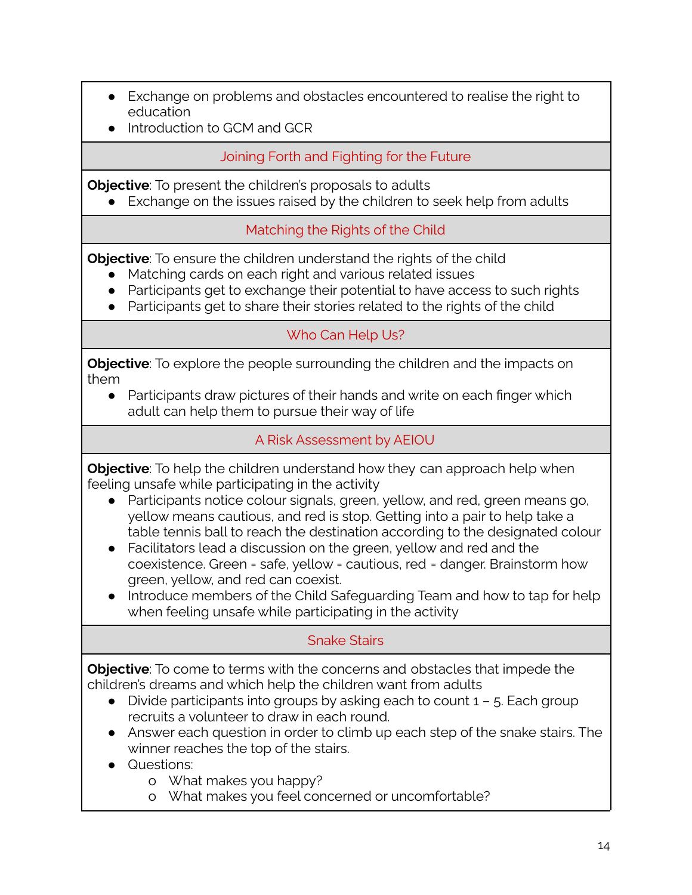- Exchange on problems and obstacles encountered to realise the right to education
- Introduction to GCM and GCR

Joining Forth and Fighting for the Future

**Objective**: To present the children's proposals to adults

● Exchange on the issues raised by the children to seek help from adults

# Matching the Rights of the Child

**Objective**: To ensure the children understand the rights of the child

- Matching cards on each right and various related issues
- Participants get to exchange their potential to have access to such rights
- Participants get to share their stories related to the rights of the child

# Who Can Help Us?

**Objective**: To explore the people surrounding the children and the impacts on them

• Participants draw pictures of their hands and write on each finger which adult can help them to pursue their way of life

# A Risk Assessment by AEIOU

**Objective**: To help the children understand how they can approach help when feeling unsafe while participating in the activity

- Participants notice colour signals, green, yellow, and red, green means go, yellow means cautious, and red is stop. Getting into a pair to help take a table tennis ball to reach the destination according to the designated colour
- Facilitators lead a discussion on the green, yellow and red and the coexistence. Green = safe, yellow = cautious, red = danger. Brainstorm how green, yellow, and red can coexist.
- Introduce members of the Child Safeguarding Team and how to tap for help when feeling unsafe while participating in the activity

# Snake Stairs

**Objective**: To come to terms with the concerns and obstacles that impede the children's dreams and which help the children want from adults

- $\bullet$  Divide participants into groups by asking each to count  $1 5$ . Each group recruits a volunteer to draw in each round.
- Answer each question in order to climb up each step of the snake stairs. The winner reaches the top of the stairs.
- Questions:
	- o What makes you happy?
	- o What makes you feel concerned or uncomfortable?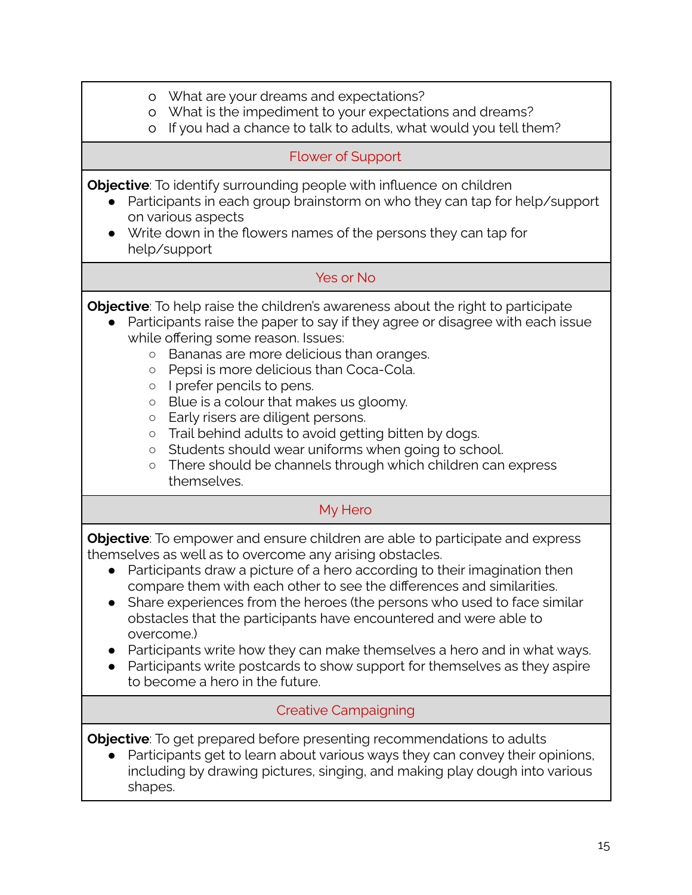- o What are your dreams and expectations?
- o What is the impediment to your expectations and dreams?
- o If you had a chance to talk to adults, what would you tell them?

#### Flower of Support

**Objective**: To identify surrounding people with influence on children

- Participants in each group brainstorm on who they can tap for help/support on various aspects
- Write down in the flowers names of the persons they can tap for help/support

### Yes or No

**Objective**: To help raise the children's awareness about the right to participate

- Participants raise the paper to say if they agree or disagree with each issue while offering some reason. Issues:
	- Bananas are more delicious than oranges.
	- Pepsi is more delicious than Coca-Cola.
	- I prefer pencils to pens.
	- Blue is a colour that makes us gloomy.
	- Early risers are diligent persons.
	- Trail behind adults to avoid getting bitten by dogs.
	- Students should wear uniforms when going to school.
	- There should be channels through which children can express themselves.

### My Hero

**Objective**: To empower and ensure children are able to participate and express themselves as well as to overcome any arising obstacles.

- Participants draw a picture of a hero according to their imagination then compare them with each other to see the differences and similarities.
- Share experiences from the heroes (the persons who used to face similar obstacles that the participants have encountered and were able to overcome.)
- Participants write how they can make themselves a hero and in what ways.
- Participants write postcards to show support for themselves as they aspire to become a hero in the future.

### Creative Campaigning

**Objective**: To get prepared before presenting recommendations to adults

Participants get to learn about various ways they can convey their opinions, including by drawing pictures, singing, and making play dough into various shapes.